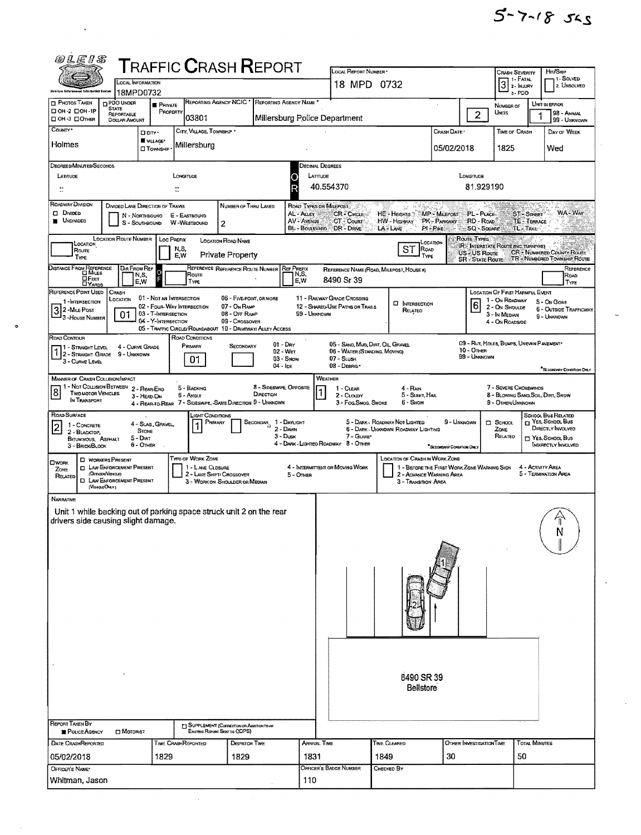| @LEIS                                                                                                                                                                                                                                                                                                                                                                |                                                                                                                                                                                                                                               |                                                                                                                                                                                                                                                                                                       | <b>T</b> RAFFIC <b>C</b> RASH <b>R</b> EPORT                       |                                                                             |                                   |                                  |                                                                                                                                                                                                                                                                                                                            |                                                                |                                                                                                                                                                                                          |                                         |                        |                          |                                                                                                         |                      |                                                             |  |  |
|----------------------------------------------------------------------------------------------------------------------------------------------------------------------------------------------------------------------------------------------------------------------------------------------------------------------------------------------------------------------|-----------------------------------------------------------------------------------------------------------------------------------------------------------------------------------------------------------------------------------------------|-------------------------------------------------------------------------------------------------------------------------------------------------------------------------------------------------------------------------------------------------------------------------------------------------------|--------------------------------------------------------------------|-----------------------------------------------------------------------------|-----------------------------------|----------------------------------|----------------------------------------------------------------------------------------------------------------------------------------------------------------------------------------------------------------------------------------------------------------------------------------------------------------------------|----------------------------------------------------------------|----------------------------------------------------------------------------------------------------------------------------------------------------------------------------------------------------------|-----------------------------------------|------------------------|--------------------------|---------------------------------------------------------------------------------------------------------|----------------------|-------------------------------------------------------------|--|--|
| ikis Law Anforsamusal Informative Sentre                                                                                                                                                                                                                                                                                                                             |                                                                                                                                                                                                                                               | <b>CCAL INFORMATION</b>                                                                                                                                                                                                                                                                               |                                                                    |                                                                             |                                   |                                  |                                                                                                                                                                                                                                                                                                                            | LOCAL REPORT NUMBER *<br>18 MPD 0732                           |                                                                                                                                                                                                          |                                         |                        |                          | Crash Severity<br>$3$ 1- FATAL $3$ 2- INJURY                                                            |                      | Hrt/Skip<br>1 - SOLVED<br>2. UNSOLVED                       |  |  |
| <b>D</b> PHOTOS TAKEN                                                                                                                                                                                                                                                                                                                                                | <b>DPDO UNDER</b>                                                                                                                                                                                                                             | 18MPD0732<br><b>PRIVATE</b>                                                                                                                                                                                                                                                                           |                                                                    | REPORTING AGENCY NCIC <sup>*</sup>                                          | REPORTING AGENCY NAME             |                                  |                                                                                                                                                                                                                                                                                                                            |                                                                |                                                                                                                                                                                                          |                                         |                        |                          | 3-PDO<br>NUMBER OF                                                                                      |                      | UNIT IN ERROR                                               |  |  |
| <b>STATE</b><br>□ ОН-2 □ ОН-1Р<br>PROPERTY<br><b>REPORTABLE</b><br>03801<br>DON-3 DOTHER<br><b>DOLLAR AMOUNT</b><br>COUNTY*                                                                                                                                                                                                                                          |                                                                                                                                                                                                                                               |                                                                                                                                                                                                                                                                                                       |                                                                    |                                                                             |                                   |                                  | UNITS<br>$\overline{2}$<br>Millersburg Police Department                                                                                                                                                                                                                                                                   |                                                                |                                                                                                                                                                                                          |                                         |                        |                          |                                                                                                         |                      | 98 - ANIMAL<br>99 - UNIGNOWN                                |  |  |
| CITY, VILLAGE, TOWNSKIP .<br>Darr-<br><b>W</b> VILLAGE*<br>Holmes<br>Millersburg<br><b>CITOWNSHIP</b>                                                                                                                                                                                                                                                                |                                                                                                                                                                                                                                               |                                                                                                                                                                                                                                                                                                       |                                                                    |                                                                             |                                   |                                  | CRASH DATE <sup>+</sup><br>05/02/2018                                                                                                                                                                                                                                                                                      |                                                                |                                                                                                                                                                                                          |                                         | TIME OF CRASH<br>1825  |                          | DAY OF WEEK<br>Wed                                                                                      |                      |                                                             |  |  |
| DEGREES/MINUTES/SECONDS                                                                                                                                                                                                                                                                                                                                              |                                                                                                                                                                                                                                               |                                                                                                                                                                                                                                                                                                       | Decimal Degrees                                                    |                                                                             |                                   |                                  |                                                                                                                                                                                                                                                                                                                            |                                                                |                                                                                                                                                                                                          |                                         |                        |                          |                                                                                                         |                      |                                                             |  |  |
| LATITUDE<br>$\ddot{}}$                                                                                                                                                                                                                                                                                                                                               |                                                                                                                                                                                                                                               |                                                                                                                                                                                                                                                                                                       | LONGITUDE<br>$\mathbb{C}$                                          |                                                                             | O                                 | LATITUDE<br>40.554370            |                                                                                                                                                                                                                                                                                                                            |                                                                |                                                                                                                                                                                                          |                                         | LONGITUDE<br>81.929190 |                          |                                                                                                         |                      |                                                             |  |  |
| ROADWAY DIVISION<br><b>CI DIVIDED</b><br><b>UNDIVIDED</b>                                                                                                                                                                                                                                                                                                            | NUMBER OF THRU LANES<br>2                                                                                                                                                                                                                     | ROAD TYPES OR MILEPOST<br>AL - ALLEY<br>CR-CIRCLE<br>MP - MILEPOST<br>PL - PUCE<br>HE - Heights<br><b>ST-STREET</b><br>AV - AVENUE<br>CT - Court<br>PK - PARKWAY<br>RD - Road<br>TE - TERRACE<br>HW - Highway<br>BL-Boutevard<br>DR - DRIVE<br>$PI - P_{IKE}$<br>LA - LANE<br>SQ - SOUARE<br>TL TRAIL |                                                                    |                                                                             |                                   |                                  |                                                                                                                                                                                                                                                                                                                            |                                                                |                                                                                                                                                                                                          | WA - WAY                                |                        |                          |                                                                                                         |                      |                                                             |  |  |
| <b>LOCATION ROUTE NUMBER</b><br>LOC PREFIX<br>LOCATION ROAD NAME<br>LOCATION<br>N, 5,<br>Route<br><b>Private Property</b><br>E.W<br>TYPE                                                                                                                                                                                                                             |                                                                                                                                                                                                                                               |                                                                                                                                                                                                                                                                                                       |                                                                    |                                                                             |                                   |                                  | Route Types<br><b>CCATION</b><br>IR'S INTERSTATE ROUTE (INC. TURNPIKE)<br>ST<br>ROAD<br><b>CR - NUMBERED COUNTY ROUTE</b><br><b>US-US Roure</b><br>Type<br>TR - NUMBERED TOWNSHIP ROUTE<br><b>SR - STATE ROUTE</b>                                                                                                         |                                                                |                                                                                                                                                                                                          |                                         |                        |                          |                                                                                                         |                      |                                                             |  |  |
| DISTANCE FROM REFERENCE<br><b>DI MILES</b><br><b>QF</b> еет<br><b>LYARDS</b>                                                                                                                                                                                                                                                                                         | Dir From Ref                                                                                                                                                                                                                                  | N,S,<br>E.W                                                                                                                                                                                                                                                                                           | Route<br>TYPE                                                      | REFERENCE REFERENCE ROUTE NUMBER                                            |                                   | <b>REF PREFIX</b><br>N,S,<br>E.W |                                                                                                                                                                                                                                                                                                                            | REFERENCE NAME (ROAD, MILEPOST, HOUSE #)<br>8490 Sr 39         |                                                                                                                                                                                                          |                                         |                        |                          |                                                                                                         |                      | REFERENCE<br>ROAD<br>TYPE                                   |  |  |
| REFERENCE POINT USED<br>1-INTERSECTION<br>32-MILE POST<br><sup>1</sup> 3 - House Number                                                                                                                                                                                                                                                                              | CRASH<br>LOCATION<br>01                                                                                                                                                                                                                       | 01 - Not an Intersection<br>03 - T-INTERSECTION<br>04 - Y-INTERSECTION                                                                                                                                                                                                                                | 02 - Four-Way INTERSECTION                                         | 06 - FIVE-POINT, OR MORE<br>07 - On Ramp<br>08 - OFF RAMP<br>09 - CROSSOVER |                                   | 99 - UNKNDWN                     |                                                                                                                                                                                                                                                                                                                            | 11 - RAILWAY GRADE CROSSING<br>12 - SHARED-USE PATHS OR TRAILS |                                                                                                                                                                                                          | <b>CI INTERSECTION</b><br>RELATED       |                        | 6                        | LOCATION OF FIRST HARMFUL EVENT<br>1 - On ROADWAY<br>2 - ON SHOULDE<br>3 - In Median<br>4 - On Roadsroe |                      | 5 - On Gone<br><b>6 - OUTSIDE TRAFFICWAY</b><br>9 - UNKNOWN |  |  |
| ROAD CONTOUR<br>3 - Cunve Lever                                                                                                                                                                                                                                                                                                                                      | 05 - TRAFFIC CIRCLE/ ROUNDABOUT 10 - DRIVEWAY/ ALLEY ACCESS<br>ROAD CONDITIONS<br>$01 - DRY$<br>Primary<br>SECONDARY<br>4 - CURVE GRADE<br>1 - STRAIGHT LEVEL<br>02 - WET<br>2 - STRAIGHT GRADE<br>9 - Unknown<br>01<br>03 - Snow<br>04 - Ice |                                                                                                                                                                                                                                                                                                       |                                                                    |                                                                             |                                   |                                  |                                                                                                                                                                                                                                                                                                                            |                                                                | 09 - RUT, HOLES, BUMPS, UNEVEN PAVEMENT*<br>05 - SAND, MUD, DIRT, OIL, GRAVEL<br>$10 -$ Other<br>06 - WATER (STANDING, MOVING)<br>99 - UNKNOWN<br>07 - SLUSH<br>08 - Deerus<br>"SECONDARY CONDITION ONLY |                                         |                        |                          |                                                                                                         |                      |                                                             |  |  |
| WEATHER<br><b>MANNER OF CRASH COLLISION/IMPACT</b><br>1 - Not Collision Between<br>8 - Sineswipe, Opposite<br>2 - REAR-END<br>5 - BACKING<br>1 - CLEAR<br>$\boldsymbol{8}$<br><b>TWO MOTOR VEHICLES</b><br>DIRECTION<br>2 - CLOUDY<br>6 - Angle<br>3 - HEAD-ON<br>IN TRANSPORT<br>4 - REAR-TO-REAR 7 - SIDESWIPE, -SAME DIRECTION 9 - UNKNOWN<br>3 - Fog Smog, Smoke |                                                                                                                                                                                                                                               |                                                                                                                                                                                                                                                                                                       |                                                                    |                                                                             |                                   |                                  |                                                                                                                                                                                                                                                                                                                            |                                                                |                                                                                                                                                                                                          | 4 - Rain<br>5 - Sleet, Hail<br>6 - SNOW |                        |                          | 7 - SEVERE CROSSWINDS<br>8 - Blowing Sand, Son, Dirt, Snow<br>9 - OTHER/UNKNOWN                         |                      |                                                             |  |  |
| ROAD SURFACE<br>1 - CONCRETE<br>2<br>2 - BLACKTOP,<br><b>BITUMINOUS, ASPHALT</b><br>3 - BRICK BLOCK                                                                                                                                                                                                                                                                  |                                                                                                                                                                                                                                               | 4 - SLAG, GRAVEL,<br><b>STONE</b><br>5 - Dirt<br>6 - OTHER                                                                                                                                                                                                                                            | JOHT CONDITIONS<br>PRIMARY                                         |                                                                             | SECONDAR 1 - DAYLIGHT<br>3 - Dusk | 2 - DAWN                         | SCHOOL BUS RELATED<br>T YES, SCHOOL BUS<br>5 - DARK - ROADWAY NOT LIGHTED<br>9 - UNKNOWN<br>$\square$ SCHOOL<br>DIRECTLY INVOLVED<br>6 - DARK - UNKNOWN ROADWAY LIGHTING<br>ZONE<br>7 - GLARE*<br>RELATED<br>T YES, SCHOOL BUS<br>4 - DARK - LIGHTED ROADWAY 8 - OTHER<br>INDIRECTLY INVOLVED<br>*SECONDARY CONDITION CHAN |                                                                |                                                                                                                                                                                                          |                                         |                        |                          |                                                                                                         |                      |                                                             |  |  |
| <b>OWORK</b><br>ZONE<br>RELATED<br>(VEHICLE ONLY)                                                                                                                                                                                                                                                                                                                    | <b>D</b> WORKERS PRESENT<br><b>CI LAW ENFORCEMENT PRESENT</b><br>(OFFICER/VEHICLE)<br><b>EL LAW ENFORCEMENT PRESENT</b>                                                                                                                       |                                                                                                                                                                                                                                                                                                       | TYPE OF WORK ZONE<br>1 - LANE CLOSURE<br>2 - LANE SHIFT/ CROSSOVER | 3 - WORK ON SHOULDER OR MEDIAN                                              |                                   | 5 - OTHER                        | <b>LOCATION OF CRASH IN WORK ZONE</b><br>4 - INTERMITTENT OR MOVING WORK<br>1 - BEFORE THE FIRST WORK ZONE WARNING SIGN<br>4 - ACTIVITY AREA<br>5 - TERMINATION AREA<br>2 - ADVANCE WARNING AREA<br>3 - Transmon Area                                                                                                      |                                                                |                                                                                                                                                                                                          |                                         |                        |                          |                                                                                                         |                      |                                                             |  |  |
| <b>NARRATIVE</b><br>Unit 1 while backing out of parking space struck unit 2 on the rear<br>drivers side causing slight damage.                                                                                                                                                                                                                                       |                                                                                                                                                                                                                                               |                                                                                                                                                                                                                                                                                                       |                                                                    |                                                                             |                                   |                                  |                                                                                                                                                                                                                                                                                                                            |                                                                |                                                                                                                                                                                                          |                                         |                        |                          |                                                                                                         |                      | N                                                           |  |  |
|                                                                                                                                                                                                                                                                                                                                                                      |                                                                                                                                                                                                                                               |                                                                                                                                                                                                                                                                                                       |                                                                    |                                                                             |                                   |                                  |                                                                                                                                                                                                                                                                                                                            |                                                                |                                                                                                                                                                                                          |                                         |                        |                          |                                                                                                         |                      |                                                             |  |  |
| $\alpha$<br><b>REPORT TAKEN BY</b>                                                                                                                                                                                                                                                                                                                                   |                                                                                                                                                                                                                                               |                                                                                                                                                                                                                                                                                                       |                                                                    |                                                                             |                                   |                                  |                                                                                                                                                                                                                                                                                                                            |                                                                |                                                                                                                                                                                                          | 8490 SR 39<br>Bellstore                 |                        |                          |                                                                                                         |                      |                                                             |  |  |
| POLICE AGENCY                                                                                                                                                                                                                                                                                                                                                        | <b>D</b> MOTORIST                                                                                                                                                                                                                             |                                                                                                                                                                                                                                                                                                       | <b>TI SUPPLEMENT (CORSECTION OR ADDITION TO AR</b>                 | <b>EXISTING REPORT SENT TO ODPS)</b>                                        |                                   |                                  |                                                                                                                                                                                                                                                                                                                            |                                                                |                                                                                                                                                                                                          |                                         |                        |                          |                                                                                                         |                      |                                                             |  |  |
| DATE CRASHREPORTED<br>05/02/2018                                                                                                                                                                                                                                                                                                                                     |                                                                                                                                                                                                                                               | 1829                                                                                                                                                                                                                                                                                                  | TIME CRASHREPORTED                                                 | DISPATCH TIME<br>1829                                                       |                                   | 1831                             | <b>ARRIVAL TIME</b>                                                                                                                                                                                                                                                                                                        |                                                                | Time Cleared<br>1849                                                                                                                                                                                     |                                         | 30                     | OTHER INVESTIGATION TIME | 50                                                                                                      | <b>TOTAL MINUTES</b> |                                                             |  |  |
| OFFICER'S NAME*<br>Whitman, Jason                                                                                                                                                                                                                                                                                                                                    |                                                                                                                                                                                                                                               |                                                                                                                                                                                                                                                                                                       |                                                                    |                                                                             |                                   |                                  |                                                                                                                                                                                                                                                                                                                            | OFFICER'S BADGE NUMBER<br>CHECKED BY<br>110                    |                                                                                                                                                                                                          |                                         |                        |                          |                                                                                                         |                      |                                                             |  |  |

 $\sim 100$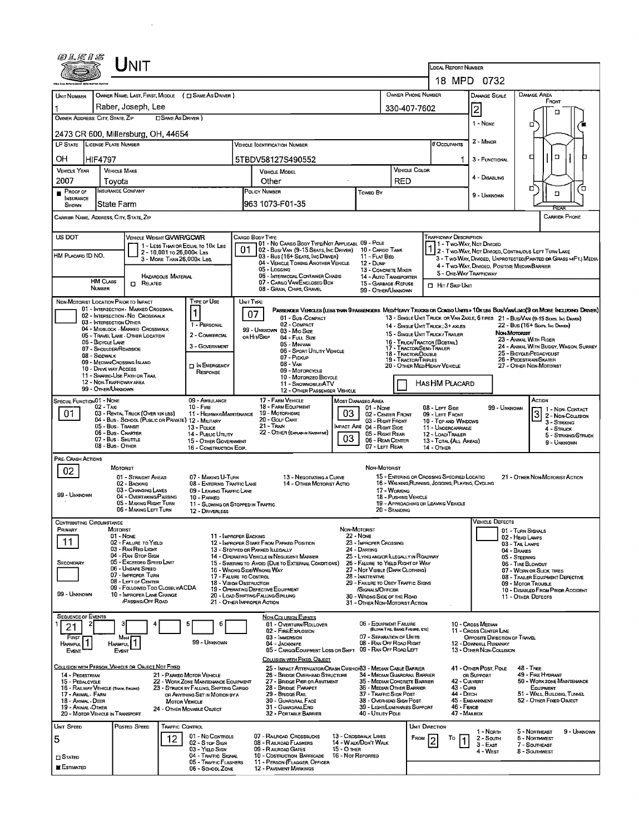| UNIT                                                                                                                                      |                                                                                                                          |                                                                                                            |                                                                                                                                                                                                                    |  |  |  |  |  |  |
|-------------------------------------------------------------------------------------------------------------------------------------------|--------------------------------------------------------------------------------------------------------------------------|------------------------------------------------------------------------------------------------------------|--------------------------------------------------------------------------------------------------------------------------------------------------------------------------------------------------------------------|--|--|--|--|--|--|
|                                                                                                                                           | LOCAL REPORT NUMBER<br>18 MPD 0732                                                                                       |                                                                                                            |                                                                                                                                                                                                                    |  |  |  |  |  |  |
| OWNER NAME; LAST, FIRST, MIDDLE ( C SAME AS DRIVER )                                                                                      |                                                                                                                          | <b>OWNER PHONE NUMBER</b>                                                                                  | <b>DAMAGE AREA</b><br><b>DAMAGE SCALE</b>                                                                                                                                                                          |  |  |  |  |  |  |
| UNIT NUMBER<br>Raber, Joseph, Lee                                                                                                         | 330-407-7602                                                                                                             | FRONT<br>2                                                                                                 |                                                                                                                                                                                                                    |  |  |  |  |  |  |
| OWNER ADDRESS: CITY, STATE, ZIP<br>□ SAME AS DRIVER)                                                                                      | п<br>1 - None<br>□                                                                                                       |                                                                                                            |                                                                                                                                                                                                                    |  |  |  |  |  |  |
| 2473 CR 600, Millersburg, OH, 44654                                                                                                       |                                                                                                                          |                                                                                                            |                                                                                                                                                                                                                    |  |  |  |  |  |  |
| LP STATE LICENSE PLATE NUMBER                                                                                                             | <b>VEHICLE IDENTIFICATION NUMBER</b>                                                                                     | <b># Occupants</b>                                                                                         | 2 - MINOR                                                                                                                                                                                                          |  |  |  |  |  |  |
| OН<br>HIF4797<br><b>VEHICLE YEAR</b><br><b>VEHICLE MAKE</b>                                                                               | 5TBDV58127S490552                                                                                                        | <b>VEHICLE COLOR</b>                                                                                       | $\Box$<br>о<br>3 - FUNCTIONAL                                                                                                                                                                                      |  |  |  |  |  |  |
| 2007<br>Tovota                                                                                                                            | <b>VEHICLE MODEL</b><br>Other                                                                                            | RED                                                                                                        | 4 - DISABLING                                                                                                                                                                                                      |  |  |  |  |  |  |
| INSURANCE COMPANY<br>$P_{ROOFOF}$<br>INSURANCE                                                                                            | POLICY NUMBER                                                                                                            | <b>Towed By</b>                                                                                            | о<br>Έ<br>□<br>9 - UNKNOWN                                                                                                                                                                                         |  |  |  |  |  |  |
| State Farm<br>SHOWN                                                                                                                       | 963 1073-F01-35                                                                                                          |                                                                                                            | CARRIER PHONE                                                                                                                                                                                                      |  |  |  |  |  |  |
| CARRIER NAME, ADDRESS, CITY, STATE, ZIP                                                                                                   |                                                                                                                          |                                                                                                            |                                                                                                                                                                                                                    |  |  |  |  |  |  |
| US DOT<br>VEHICLE WEIGHT GVWR/GCWR<br>1 - LESS THAN OR EQUAL TO 10K LBS                                                                   | CARGO BODY TYPE<br>01 - No Cargo Body Type/Not Applicabl 09 - Pole                                                       | Trafficway Description                                                                                     | 71 - Two-Way, Not Dimded                                                                                                                                                                                           |  |  |  |  |  |  |
| 2 - 10,001 то 26,000к Las<br>HM PLACARD ID NO.<br>3 - MORE THAN 26,000K LBS.                                                              | 01<br>02 - Bus/ Van (9-15 Seats, Inc Driver)<br>03 - Bus (16+ SEATS, INC DRIVER)                                         | 10 - CARGO TANK<br>11 - FLAT BED                                                                           | 2 - TWO-WAY, NOT DIVIDED, CONTINUOUS LEFT TURN LANE<br>3 - Two-Way, DIMOED, UNPROTECTEO(PAINTED OR GRASS >4FT.) MEDIA                                                                                              |  |  |  |  |  |  |
| HAZAROQUS MATERIAL                                                                                                                        | 04 - VEHICLE TOWING ANOTHER VEHICLE<br>05 - Logging<br>06 - INTERMODAL CONTAINER CHASIS                                  | 12 - Dump<br>13 - CONCRETE MIXER<br>14 - AUTO TRANSPORTER                                                  | 4 - Two-Way, Divided, Positive MedianBarrier<br>5 - ONE-WAY TRAFFICWAY                                                                                                                                             |  |  |  |  |  |  |
| <b>HM CLASS</b><br>$R$ ELATED<br>NUMBER                                                                                                   | 07 - CARGO VAN/ENCLOSED BOX<br>08 - GRAIN, CHIPS, GRAVEL                                                                 | 15 - GARBAGE /REFUSE<br><b>D</b> HIT / SKIP UNIT<br>99 - OTHER/UNKNOWN                                     |                                                                                                                                                                                                                    |  |  |  |  |  |  |
| Type or Use<br>NON-MOTORIST LOCATION PRIOR TO IMPACT                                                                                      | UNIT TYPE                                                                                                                |                                                                                                            |                                                                                                                                                                                                                    |  |  |  |  |  |  |
| 01 - INTERSECTION - MARKED CROSSWAL<br>1<br>02 - INTERSECTION NO CROSSWALK<br>03 - INTERSECTION OTHER                                     | 07<br>01 - Sub-COMPACT                                                                                                   |                                                                                                            | PASSENGER VEHICLES (LESS THAN 9 PASSENGERS MEDIMEANY TRUCKS OR COMBO UNITS > 10KLBS BUS/VAN/LIMO(9 OR MORE INCLUDING DRIVER)<br>13 - SINGLE UNIT TRUCK OR VAN 2AXLE, 6 TIRES 21 - BUS/VAN (9-15 SEATS. INC DRIVER) |  |  |  |  |  |  |
| 1 - PERSONAL<br>04 - MIDBLOCK - MARKED CROSSWALK<br>2 - COMMERCIAL<br>05 - TRAVEL LANE - OTHER LOCATION                                   | 02 - COMPACT<br>99 - UNKNOWN 03 - MIO SIZE<br>OR HIT/SKIP<br>04 - Full Size                                              | 14 - SINGLE UNIT TRUCK; 3+ AXLES<br>15 - SINGLE UNIT TRUCK / TRAILER                                       | 22 - BUS (16+ Seats, Inc Driver)<br>Non Motorust                                                                                                                                                                   |  |  |  |  |  |  |
| 06 - BICYCLE LANE<br>3 - GOVERNMENT<br>07 - SHOULDER/ROADSIDE                                                                             | 05 - Minivan<br>06 - SPORT UTILITY VEHICLE                                                                               | 16 - TRUCK/TRACTOR (BOBTAIL)<br>17 - TRACTOR/SEMI-TRAILER<br>18 - TRACTOR/DOUBLE                           | 23 - ANIMAL WITH RIDER<br>24 - ANIMAL WITH BUGGY, WAGON, SURREY<br>25 - BICYCLE/PEDACYCLIST                                                                                                                        |  |  |  |  |  |  |
| 08 - SIOEWALK<br>09 - MEOIAN/CROSSING ISLAND<br><b>IN EMERGENCY</b><br>10 - DRIVE WAY ACCESS                                              | 07 - Pickup<br>$08 - V_{AN}$                                                                                             | <b>19 - TRACTOR/TRIPLES</b><br>20 - OTHER MEDIHEAVY VEHICLE                                                | 26 - PEOESTRIAN/SKATER<br>27 - OTHER NON-MOTORIST                                                                                                                                                                  |  |  |  |  |  |  |
| RESPONSE<br>11 - SHAREO-USE PATH OR TRAIL<br>12 - NON-TRAFFICWAY AREA                                                                     | 09 - MOTORCYCLE<br>10 - MOTORIZEO BICYCLE<br>11 - SNOWMOBILE/ATV                                                         | HAS HM PLACARD                                                                                             |                                                                                                                                                                                                                    |  |  |  |  |  |  |
| 99 - OTHER/UNKNOWN                                                                                                                        | 12 - OTHER PASSENGER VEHICLE                                                                                             |                                                                                                            |                                                                                                                                                                                                                    |  |  |  |  |  |  |
| SPECIAL FUNCTION 01 - NONE<br>09 - AMBULANCE<br>02 - Taxi<br>$10 -$ Fire<br>03 - RENTAL TRUCK (OVER 10K LBS)<br>01                        | 17 - FARM VEHICLE<br>MOST DAMAGED AREA<br>18 - FARM EQUIPMENT<br>03<br>19 - Мотовноме<br>11 - HIGHWAY/MAINTENANCE        | 01 - None<br>08 - Lert Side<br>02 - CENTER FRONT<br>09 - LEFT FRONT                                        | Action<br>99 - Unknown<br>1 - Non-Contact<br>3 2 - NON-CONTACT                                                                                                                                                     |  |  |  |  |  |  |
| 04 - Bus - SCHOOL (PUBLIC OR PRIVATE) 12 - MILITARY<br>05 - Bus - Transit<br>13 - Pouce                                                   | 20 - GOLF CART<br>21 - Train                                                                                             | 03 - Right Front<br>10 - TOP AND WINDOWS<br>MPACT ARE 04 - RIGHT SIDE<br>11 - UNOERCARRIAGE                | 3 - STRIKING<br>4 - Struck                                                                                                                                                                                         |  |  |  |  |  |  |
| 06 - Bus - Charter<br>14 - Public UTILITY<br>07 - Bus - SHUTTLE<br>15 - OTHER GOVERNMENT<br>08 - Bus - OTHER                              | 22 - OTHER (EXPLAIN IN NAVRATIVE)<br>03                                                                                  | 05 - Right Rear<br>12 - LOAD/TRAILER<br>06 - REAR CENTER<br>13 - TOTAL (ALL AREAS)                         | 5 - STRIKING/STRUCK<br>9 - Unknown                                                                                                                                                                                 |  |  |  |  |  |  |
| 16 - CONSTRUCTION EOIP.<br>PRE-CRASH ACTIONS                                                                                              |                                                                                                                          | 07 - LEFT REAR<br>14 - OTHER                                                                               |                                                                                                                                                                                                                    |  |  |  |  |  |  |
| <b>MOTORIST</b><br>02<br>01 - STRAIGHT AHEAD<br>07 - MAKING U-TURN                                                                        |                                                                                                                          | NON-MOTORIST                                                                                               |                                                                                                                                                                                                                    |  |  |  |  |  |  |
| 02 - BACKING<br>03 - CHANGING LANES<br>09 - LEAVING TRAFFIC LANE                                                                          | 13 - Negotiating a Curve<br>08 - ENTERING TRAFFIC LANE<br>14 - OTHER MOTORIST ACTIO                                      | 17 - WORKING                                                                                               | 15 - ENTERING OR CROSSING SPECIFIED LOCATIO<br>21 - OTHER NON-MOTORIST ACTION<br>16 - WALKING, RUNNING, JOGGING, PLAYING, CYCLING                                                                                  |  |  |  |  |  |  |
| 99 - UNKNOWN<br>04 - OVERTAKING PASSING<br>10 - PARKED<br>05 - MAKING RIGHT TURN                                                          | 11 - Slowing or Stopped in Traffic                                                                                       | 18 - Pushing Vehicle<br>19 - APPROACHING OR LEAVING VEHICLE                                                |                                                                                                                                                                                                                    |  |  |  |  |  |  |
| 06 - MAKING LEFT TURN<br>12 - DRIVERLESS                                                                                                  |                                                                                                                          | 20 - Standing                                                                                              | <b>VEHICLE DEFECTS</b>                                                                                                                                                                                             |  |  |  |  |  |  |
| CONTRIBUTING CIRCUMSTANCE<br>PRIMARY<br>MOTORIST<br>01 - None                                                                             | NON-MOTORIST<br><b>22 - NONE</b><br>11 - IMPROPER BACKING                                                                |                                                                                                            | 01 - TURN SIGNALS<br>02 - HEAD LAMPS                                                                                                                                                                               |  |  |  |  |  |  |
| 11<br>02 - FAILURE TO YIELD<br>03 - RAN RED LIGHT                                                                                         | 12 - IMPROPER START FROM PARKED POSITION<br>13 - Stopped or PARKED LLEGALLY<br>24 - DARTING                              | 23 - IMPROPER CROSSING                                                                                     | 03 - TAIL LAMPS<br>04 - Brakes                                                                                                                                                                                     |  |  |  |  |  |  |
| 04 - RAN STOP SIGN<br>05 - Exceeded Speed LIMIT<br>SECONDARY<br>06 - UNSAFE SPEED                                                         | 14 - OPERATING VEHICLE IN NEGLIGENT MANNER<br>15 - SWERING TO AVOID (DUE TO EXTERNAL CONDITIONS)                         | 25 - LYING AND/OR ILLEGALLY IN ROADWAY<br>26 - FALURE TO YIELD RIGHT OF WAY                                | 05 - STEERING<br>06 - TIRE BLOWOUT                                                                                                                                                                                 |  |  |  |  |  |  |
| 07 - IMPROPER TURN<br>08 - LEFT OF CENTER                                                                                                 | 16 - WRONG SIDE/WRONG WAY<br>17 - FALURE TO CONTROL<br>18 - VISION OBSTRUCTION                                           | 27 - NOT VISIBLE (DARK CLOTHING)<br>28 - INATTENTIVE<br>29 - FAILURE TO OBEY TRAFFIC SIGNS                 | 07 - WORN OR SLICK TIRES<br>08 - TRAILER EQUIPMENT DEFECTIVE<br>09 - MOTOR TROUBLE                                                                                                                                 |  |  |  |  |  |  |
| 09 - FOLLOWED TOO CLOSELY/ACDA<br>99 - UNKNOWN<br>10 - IMPROPER LANE CHANGE                                                               | 19 - OPERATING DEFECTIVE EQUIPMENT<br>20 - LOAD SHIFTING/FALLING/SPILLING                                                | /SIGNALS/OFFICER<br>10 - DISABLED FROM PRIOR ACCIDENT<br>30 - WRONG SIDE OF THE ROAD<br>11 - OTHER DEFECTS |                                                                                                                                                                                                                    |  |  |  |  |  |  |
| <b>PASSING/OFF ROAD</b>                                                                                                                   | 21 - OTHER IMPROPER ACTION                                                                                               | 31 - OTHER NON-MOTORIST ACTION                                                                             |                                                                                                                                                                                                                    |  |  |  |  |  |  |
| <b>SEQUENCE OF EVENTS</b><br>2<br>6<br>5<br>21                                                                                            | <b>NON-COLLISION EVENTS</b><br>01 - Overturn/Rollover                                                                    | 06 - EQUIPMENT FAILURE<br>(BLOWN TIRE, BRAKE FAILURE, ETC)                                                 | 10 - Cross Median                                                                                                                                                                                                  |  |  |  |  |  |  |
| FIRST<br>Most<br>HARMFUL <sup>1</sup><br>HARMFUL <sup>1</sup><br>99 - Unknown                                                             | 02 - FIRE/EXPLOSION<br>03 - IMMERSION<br>04 - JACKKNIFE                                                                  | 07 - SEPARATION OF UNITS<br>08 - RAN OFF ROAD RIGHT                                                        | 11 - Cross Center LINE<br>OPPOSITE DIRECTION OF TRAVEL<br>12 - DOWNHILL RUNAWAY                                                                                                                                    |  |  |  |  |  |  |
| EVENT<br>Event                                                                                                                            | 05 - CARGO/EQUIPMENT LOSS OR SHIFT<br>COLLISION WITH FIXED, OBJECT                                                       | 09 - RAN OFF ROAD LEFT                                                                                     | 13 - OTHER NON-COLLISION                                                                                                                                                                                           |  |  |  |  |  |  |
| COLLISION WITH PERSON_VEHICLE OR OBJECT NOT FIXED<br>21 - PARKEO MOTOR VEHICLE<br>14 - PEDESTRIAN                                         | 25 - IMPACT ATTENUATOR/CRASH CUSHION33 - MEDIAN CABLE BARRIER<br>26 - BRIDGE OVERHEAD STRUCTURE                          | 34 - MEDIAN GUARDRAIL BARRIER                                                                              | 41 - OTHER POST, POLE<br><b>48 - TREE</b><br>49 - FIRE HYDRANT<br>OR SUPPORT                                                                                                                                       |  |  |  |  |  |  |
| 15 - PEDALCYCLE<br>22 - WORK ZONE MAINTENANCE EQUIPMENT<br>16 - RAILWAY VEHICLE (TRAIN, ENGINE)<br>23 - STRUCK BY FALLING, SHIFTING CARGO | 27 - BRIDGE PIER OR ABUTMENT<br>28 - Bridge Parapet                                                                      | 35 - MEDIAN CONCRETE BARRIER<br>36 - MEDIAN OTHER BARRIER                                                  | 42 - Culvert<br>50 - WORKZONE MAINTENANCE<br>43 - Cura<br>EQUIPMENT                                                                                                                                                |  |  |  |  |  |  |
| 17 - Animal - Farm<br>OR ANYTHING SET IN MOTION BY A<br>18 - Animal - Deer<br><b>MOTOR VEHICLE</b>                                        | 29 - Brudge Rail<br>30 - GUARDRAIL FACE                                                                                  | 37 - TRAFFIC SIGN POST<br>38 - Overhead Sign Post                                                          | 44 - Олсн<br>51 - WALL, BUILDING, TUNNEL<br>45 - Embankment<br>52 - OTHER FIXED OBJECT                                                                                                                             |  |  |  |  |  |  |
| 19 - ANIMAL OTHER<br>24 - OTHER MOVABLE OBJECT<br>20 - MOTOR VEHICLE IN TRANSPORT                                                         | 31 - GUARDRAILEND<br>32 - PORTABLE BARRIER                                                                               | 39 - LIGHT/LUMINARIES SUPPORT<br>40 - Utility Pole                                                         | 46 - FENCE<br>47 - Maleox                                                                                                                                                                                          |  |  |  |  |  |  |
| <b>UNIT SPEED</b><br>Posted Speed<br>TRAFFIC CONTROL<br>01 - No Controls                                                                  | 07 - RAILROAD CROSSBUCKS<br><b>13 - CROSSWALK LINES</b>                                                                  | <b>UNIT DIRECTION</b>                                                                                      | 9 - UNKNOWN<br>5 - Northeast<br>1 - North                                                                                                                                                                          |  |  |  |  |  |  |
| 5<br>12<br>02 - Stop Sign<br>03 - YIELD SIGN                                                                                              | 14 - W ALK/DON'T WALK<br>08 - RAILROAD FLASHERS<br>09 - RAILROAD GATES<br>15 - O THER                                    | FROM<br>Ιo                                                                                                 | <b>6 - NORTIWEST</b><br>2 - South<br>3 - East<br>7 - SOUTHEAST<br>4 - West<br>8 - SOUTHWEST                                                                                                                        |  |  |  |  |  |  |
| 04 - TRAFFIC SIGNAL<br>$\square$ Stated<br>05 - TRAFFIC FLASHERS<br><b>E</b> stimated<br>06 - SCHOOL ZONE                                 | <b>16 - Not REPORTED</b><br>10 - Costruction Barricade<br>11 - PERSON (FLAGGER, OFFICER<br><b>12 - PAVEMENT MARKINGS</b> |                                                                                                            |                                                                                                                                                                                                                    |  |  |  |  |  |  |
|                                                                                                                                           |                                                                                                                          |                                                                                                            |                                                                                                                                                                                                                    |  |  |  |  |  |  |

 $\sim 1000$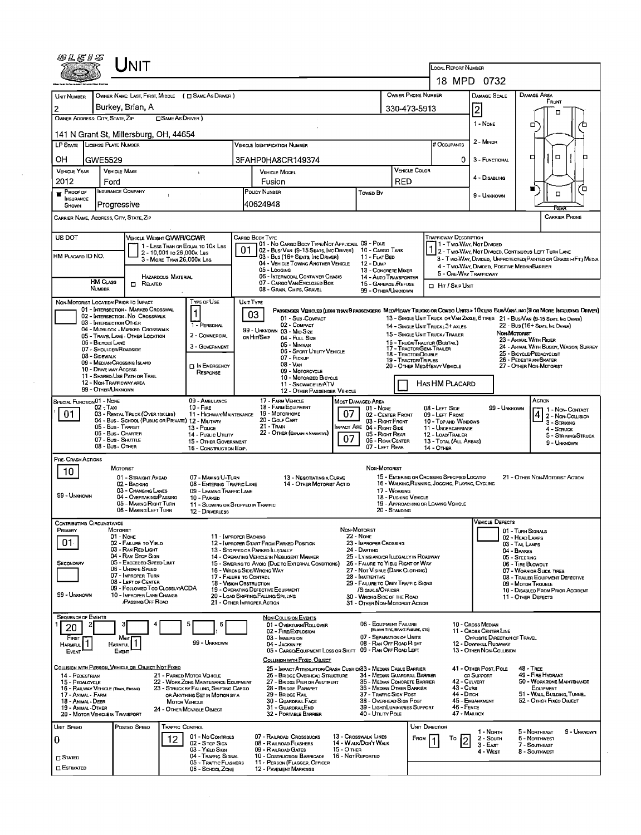|                                         | UNIT                                                                                    |                                                                          |                                                                                                                                                        |                      |                                                               |                                 | LOCAL REPORT NUMBER                                                                             |                                                                 |                                    |                                                                   |                                                                                                                                       |
|-----------------------------------------|-----------------------------------------------------------------------------------------|--------------------------------------------------------------------------|--------------------------------------------------------------------------------------------------------------------------------------------------------|----------------------|---------------------------------------------------------------|---------------------------------|-------------------------------------------------------------------------------------------------|-----------------------------------------------------------------|------------------------------------|-------------------------------------------------------------------|---------------------------------------------------------------------------------------------------------------------------------------|
|                                         |                                                                                         |                                                                          |                                                                                                                                                        |                      |                                                               |                                 |                                                                                                 | 18 MPD 0732                                                     |                                    |                                                                   |                                                                                                                                       |
| UNIT NUMBER                             | OWNER NAME: LAST, FIRST, MIDDLE ( C SAME AS DRIVER )                                    |                                                                          |                                                                                                                                                        |                      |                                                               | OWNER PHONE NUMBER              |                                                                                                 | DAMAGE SCALE                                                    |                                    | Damage Area<br>FRONT                                              |                                                                                                                                       |
| 2                                       | Burkey, Brian, A                                                                        |                                                                          |                                                                                                                                                        |                      |                                                               | 330-473-5913                    |                                                                                                 | $\overline{2}$                                                  |                                    |                                                                   |                                                                                                                                       |
|                                         | OWNER ADDRESS: CITY, STATE, ZIP<br>□ SAME AS DRIVER)                                    |                                                                          |                                                                                                                                                        |                      |                                                               |                                 |                                                                                                 | 1 - NONE                                                        |                                    |                                                                   | o                                                                                                                                     |
|                                         | 141 N Grant St, Millersburg, OH, 44654                                                  |                                                                          |                                                                                                                                                        |                      |                                                               |                                 |                                                                                                 |                                                                 |                                    |                                                                   |                                                                                                                                       |
|                                         | LP STATE LICENSE PLATE NUMBER                                                           |                                                                          | <b>VEHICLE IDENTIFICATION NUMBER</b>                                                                                                                   |                      |                                                               |                                 | # Occupants                                                                                     | 2 - MINDR                                                       |                                    |                                                                   |                                                                                                                                       |
| OН                                      | GWE5529                                                                                 |                                                                          | 3FAHP0HA8CR149374                                                                                                                                      |                      |                                                               |                                 |                                                                                                 | 0.<br>3 - FUNCTIONAL                                            |                                    | п                                                                 | n                                                                                                                                     |
| <b>VEHICLE YEAR</b>                     | <b>VEHICLE MAKE</b>                                                                     |                                                                          | <b>VEHICLE MODEL</b>                                                                                                                                   |                      |                                                               | <b>VEHICLE COLOR</b>            |                                                                                                 |                                                                 |                                    |                                                                   |                                                                                                                                       |
| 2012                                    | Ford                                                                                    |                                                                          | Fusion                                                                                                                                                 |                      |                                                               | <b>RED</b>                      |                                                                                                 | 4 - DISABLING                                                   |                                    |                                                                   |                                                                                                                                       |
| $P_{\text{ROOF OF}}$<br>INSURANCE       | <b>INSURANCE COMPANY</b>                                                                |                                                                          | POLICY NUMBER                                                                                                                                          |                      | <b>Towed By</b>                                               |                                 |                                                                                                 | 9 - UNKNOWN                                                     |                                    | Έ<br>$\Box$                                                       |                                                                                                                                       |
| SHOWN                                   | Progressive                                                                             |                                                                          | 40624948                                                                                                                                               |                      |                                                               |                                 |                                                                                                 |                                                                 |                                    |                                                                   |                                                                                                                                       |
|                                         | CARRIER NAME, ADDRESS, CITY, STATE, ZIP                                                 |                                                                          |                                                                                                                                                        |                      |                                                               |                                 |                                                                                                 |                                                                 |                                    |                                                                   | CARRIER PHONE                                                                                                                         |
|                                         |                                                                                         |                                                                          |                                                                                                                                                        |                      |                                                               |                                 |                                                                                                 |                                                                 |                                    |                                                                   |                                                                                                                                       |
| US DOT                                  | <b>VEHICLE WEIGHT GVWR/GCWR</b><br>1 - LESS THAN OR EQUAL TO 10K LBS                    |                                                                          | CARGO BODY TYPE<br>01 - No Cargo Body Type/Not Applicabl 09 - Pole                                                                                     |                      |                                                               |                                 | Trafficway Description                                                                          | 11 - Two-Way, Not Divided                                       |                                    |                                                                   |                                                                                                                                       |
| HM PLACARD ID NO.                       | 2 - 10,001 to 26,000k Lss<br>3 - MORE THAN 26,000K LBS.                                 |                                                                          | 01<br>02 - Bus/ Van (9-15 Seats, Inc Driver) 10 - Cargo Tank<br>03 - Bus (16+ Seats, Inc Driver)                                                       |                      | 11 - Flat Bed                                                 |                                 | 1 2 - Two-Way, Not Divided, Continuous Left Turn Lane                                           | 3 - Two-Way, Divided, Unprotected(Painted or Grass >4FT.) Media |                                    |                                                                   |                                                                                                                                       |
|                                         |                                                                                         |                                                                          | 04 - VEHICLE TOWING ANOTHER VEHICLE<br>05 - Logging                                                                                                    |                      | 12 - Dump<br>13 - CONCRETE MIXER                              |                                 |                                                                                                 | 4 - Two-Way, DIVIDED, POSITIVE MEDIANBARRIER                    |                                    |                                                                   |                                                                                                                                       |
|                                         | <b>HAZARDOUS MATERIAL</b><br><b>HM CLASS</b><br>$\Box$ Related                          |                                                                          | 06 - INTERMODAL CONTAINER CHASIS<br>07 - CARGO VAN/ENCLOSED BOX                                                                                        |                      | 14 - Auto Transporter                                         |                                 |                                                                                                 | 5 - ONE-WAY TRAFFICWAY                                          |                                    |                                                                   |                                                                                                                                       |
|                                         | <b>NUMBER</b>                                                                           |                                                                          | 08 - Grain, Chips, Gravel                                                                                                                              |                      | 15 - GARBAGE /REFUSE<br>99 - OTHER/UNKNOWN                    |                                 | Hr / Skip Unit                                                                                  |                                                                 |                                    |                                                                   |                                                                                                                                       |
|                                         | NON-MOTORIST LOCATION PRIOR TO IMPACT                                                   | Type of Use                                                              | UNIT TYPE                                                                                                                                              |                      |                                                               |                                 |                                                                                                 |                                                                 |                                    |                                                                   |                                                                                                                                       |
|                                         | 01 - INTERSECTION - MARKED CROSSWAL<br>02 - INTERSECTION - NO CROSSWALK                 |                                                                          | PASSENGER VEHICLES (LESS THAN 9 PASSENGERS MED/HEAVY TRUCKS OR COMBO UNTS > 10KLBS BUS/VAN/LIMO (9 OR MORE INCLUDING DRIVER)<br>03<br>01 - Sub-COMPACT |                      |                                                               |                                 | 13 - SINGLE UNIT TRUCK OR VAN 24XLE, 6 TIRES 21 - BUS/VAN (9-15 SEATS, INC DRIVER)              |                                                                 |                                    |                                                                   |                                                                                                                                       |
|                                         | 03 - INTERSECTION OTHER<br>04 - MIDBLOCK - MARKED CROSSWALK                             | 1 - PERSONAL                                                             | 02 - COMPACT<br>99 - UNKNOWN 03 - MID SIZE                                                                                                             |                      |                                                               |                                 | 14 - SINGLE UNIT TRUCK: 3+ AXLES                                                                |                                                                 |                                    | 22 - Bus (16+ Seats, Ing Driver)                                  |                                                                                                                                       |
|                                         | 05 - TRAVEL LANE - OTHER LOCATION<br>06 - BICYCLE LANE                                  | 2 - COMMERCIAL                                                           | OR HIT/SKIP<br>04 - FULL SIZE                                                                                                                          |                      |                                                               |                                 | 15 - SINGLE UNIT TRUCK / TRAILER<br>16 - TRUCK/TRACTOR (BOBTAIL)                                |                                                                 | NON-MOTORIST                       | 23 - ANIMAL WITH RIDER                                            |                                                                                                                                       |
|                                         | 07 - Shoulder/Roadside                                                                  | 3 - GOVERNMENT                                                           | 05 - MINIVAN<br>06 - Sport Utury Vehicle                                                                                                               |                      |                                                               | 18 - TRACTOR/DOUBLE             | 17 - TRACTOR/SEMI-TRAILER                                                                       |                                                                 |                                    | 24 - ANIMAL WITH BUGGY, WAGON, SURREY<br>25 - BICYCLE/PEDACYCLIST |                                                                                                                                       |
|                                         | 08 - SIDEWALK<br>09 - MEDIAN/CROSSING ISLAND                                            | <b>IN EMERGENCY</b>                                                      | 07 - PICKUP<br>08 - VAN                                                                                                                                |                      |                                                               | 19 - TRACTOR/TRIPLES            | 20 - OTHER MEDIHEAVY VEHICLE                                                                    |                                                                 |                                    | 26 - PEDESTRIAN/SKATER<br>27 - OTHER NON-MOTORIST                 |                                                                                                                                       |
|                                         | 10 - DRIVE WAY ACCESS<br>11 - SHARED USE PATH OR TRAIL                                  | RESPONSE                                                                 | 09 - MOTORCYCLE                                                                                                                                        |                      |                                                               |                                 |                                                                                                 |                                                                 |                                    |                                                                   |                                                                                                                                       |
|                                         | 12 - NON-TRAFFICWAY AREA<br>99 - OTHER/UNKNOWN                                          |                                                                          | 10 - Motorized Bicycle<br>11 - SNOWMOBILE/ATV                                                                                                          |                      |                                                               |                                 | HAS HM PLACARD                                                                                  |                                                                 |                                    |                                                                   |                                                                                                                                       |
| SPECIAL FUNCTION 01 - NONE              |                                                                                         | 09 - AMBULANCE                                                           | 12 - OTHER PASSENGER VEHICLE<br>17 - FARM VEHICLE                                                                                                      |                      |                                                               |                                 |                                                                                                 |                                                                 |                                    | ACTION                                                            |                                                                                                                                       |
|                                         | $02 - Tax$                                                                              | $10 -$ Fire                                                              | 18 - FARM EQUIPMENT                                                                                                                                    | Most Damaged Area    | $01 - None$                                                   |                                 | 08 - LEFT SIDE                                                                                  |                                                                 | 99 - UNKNOWN                       |                                                                   |                                                                                                                                       |
| 01                                      | 03 - RENTAL TRUCK (OVER 10K LBS)<br>04 - Bus - SCHOOL (PUBLIC OR PRIVATE) 12 - MILITARY | 11 - HIGHWAY/MAINTENANCE                                                 | 19 - Мотопноме<br>20 - GOLF CART                                                                                                                       | 07                   | 02 - CENTER FRONT<br>03 - Right Front                         |                                 | 09 - LEFT FRONT<br>10 - Top AND WINDOWS                                                         |                                                                 |                                    |                                                                   | $\begin{array}{ c c }\n\hline\n4 & 2 - \text{Non-Conrac} \\ \hline\n2 & - \text{Non-Conrac} \\ \hline\n\end{array}$<br>$3 -$ Striking |
|                                         | 05 - Bus - Transit<br>06 - Bus - CHARTER                                                | 13 - Pouce<br>14 - PUBLIC UTILITY                                        | 21 - Train<br>22 - OTHER (EXPLAN IN NARRATIVE)                                                                                                         |                      | MPACT ARE 04 - RIGHT SIDE<br>05 - Right Rear                  |                                 | 11 - UNDERCARRIAGE<br>12 - LOAD/TRAILER                                                         |                                                                 |                                    |                                                                   | $4 -$ Struck<br>5 - STRIKING/STRUCK                                                                                                   |
|                                         | 07 - Bus - SHUTTLE<br>08 - Bus - OTHER                                                  | 15 - OTHER GOVERNMENT<br>16 - CONSTRUCTION EOIP.                         |                                                                                                                                                        | 07                   | 06 - REAR CENTER<br>07 - LEFT REAR                            |                                 | 13 - TOTAL (ALL AREAS)<br><b>14 - OTHER</b>                                                     |                                                                 |                                    |                                                                   | 9 - UNKNOWN                                                                                                                           |
| PRE- CRASH ACTIONS                      |                                                                                         |                                                                          |                                                                                                                                                        |                      |                                                               |                                 |                                                                                                 |                                                                 |                                    |                                                                   |                                                                                                                                       |
| 10                                      | MOTORIST                                                                                |                                                                          |                                                                                                                                                        |                      | NON-MOTORIST                                                  |                                 |                                                                                                 |                                                                 |                                    |                                                                   |                                                                                                                                       |
|                                         | 01 - STRAIGHT ANEAD<br>02 - BACKING                                                     | 07 - MAKING U TURN<br>08 - ENTERING TRAFFIC LANE                         | 13 - NEGOTIATING A CURVE<br>14 - OTHER MOTORIST ACTIO                                                                                                  |                      |                                                               |                                 | 15 - ENTERING OR CROSSING SPECIFIED LOCATIO<br>16 - WALKING, RUNNING, JOGGING, PLAYING, CYCLING |                                                                 |                                    | 21 - OTHER NON-MOTORIST ACTION                                    |                                                                                                                                       |
| 99 - UNKNOWN                            | 03 - CHANGING LANES                                                                     | 09 - LEAVING TRAFFIC LANE                                                |                                                                                                                                                        |                      |                                                               | 17 - WORKING                    |                                                                                                 |                                                                 |                                    |                                                                   |                                                                                                                                       |
|                                         | 04 - OVERTAKING/PASSING<br>05 - MAKING RIGHT TURN                                       | 10 - PARKED<br>11 - Slowing or Stopped in Traffic                        |                                                                                                                                                        |                      |                                                               | 18 - PUSHING VEHICLE            | 19 - APPROACHING OR LEAVING VEHICLE                                                             |                                                                 |                                    |                                                                   |                                                                                                                                       |
|                                         | 06 - MAKING LEFT TURN                                                                   | 12 - DRIVERLESS                                                          |                                                                                                                                                        |                      |                                                               | 20 - STANDING                   |                                                                                                 | VEHICLE DEFECTS                                                 |                                    |                                                                   |                                                                                                                                       |
| Contributing Circumstance<br>PRIMARY    | MOTORIST                                                                                |                                                                          |                                                                                                                                                        | Non-MOTORIST         |                                                               |                                 |                                                                                                 |                                                                 | 01 - TURN SIGNALS                  |                                                                   |                                                                                                                                       |
| 01.                                     | 01 - None<br>02 - FAILURE TO YIELD                                                      | 11 - IMPROPER BACKING                                                    | 12 - IMPROPER START FROM PARKED POSITION                                                                                                               | <b>22 - Nove</b>     | 23 - IMPROPER CROSSING                                        |                                 |                                                                                                 |                                                                 | 02 - HEAD LAMPS<br>03 - TAIL LAMPS |                                                                   |                                                                                                                                       |
|                                         | 03 - RAN RED LIGHT<br>04 - RAN STOP SIGN                                                |                                                                          | 13 - Stopped or Parked LLEGALLY<br>14 - OPERATING VEHICLE IN NEGLIGENT MANNER                                                                          |                      | 24 - DARTING<br>25 - LYING AND/OR ILLEGALLY IN ROADWAY        |                                 |                                                                                                 |                                                                 | 04 - BRAKES                        |                                                                   |                                                                                                                                       |
| SECONDARY                               | 05 - Exceeded Speed Limit                                                               |                                                                          | 15 - Swering to Avoid (Due to External Conditions)                                                                                                     |                      | 26 - FALURE TO YIELD RIGHT OF WAY                             |                                 |                                                                                                 |                                                                 | 05 - STEERING<br>06 - TIRE BLOWOUT |                                                                   |                                                                                                                                       |
|                                         | 06 - UNSAFE SPEED<br>07 - IMPROPER TURN                                                 | 17 - FALURE TO CONTROL                                                   | 16 - WRONG SIDE/WRONG WAY                                                                                                                              |                      | 27 - NOT VISIBLE (DARK CLOTHING)<br>28 - INATTENTIVE          |                                 |                                                                                                 |                                                                 |                                    | 07 - WORN OR SLICK TIRES<br>08 - TRAILER EQUIPMENT DEFECTIVE      |                                                                                                                                       |
|                                         | 08 - LEFT OF CENTER<br>09 - FOLLOWED TOO CLOSELY/ACDA                                   | 18 - Vision OBSTRUCTION                                                  | 19 - OPERATING DEFECTIVE EQUIPMENT                                                                                                                     |                      | 29 - FAILURE TO OBEY TRAFFIC SIGNS<br>/Signals/Officer        |                                 |                                                                                                 |                                                                 |                                    | 09 - MOTOR TROUBLE<br>10 - DISABLED FROM PRIOR ACCIDENT           |                                                                                                                                       |
| 99 - Unknown                            | 10 - IMPROPER LANE CHANGE<br><b>PASSING/OFF ROAD</b>                                    | 21 - OTHER IMPROPER ACTION                                               | 20 - LOAD SHIFTING/FALUNG/SPILLING                                                                                                                     |                      | 30 - WRONG SIDE OF THE ROAD<br>31 - OTHER NON-MOTORIST ACTION |                                 |                                                                                                 |                                                                 |                                    | 11 - OTHER DEFECTS                                                |                                                                                                                                       |
|                                         |                                                                                         |                                                                          |                                                                                                                                                        |                      |                                                               |                                 |                                                                                                 |                                                                 |                                    |                                                                   |                                                                                                                                       |
| <b>SEQUENCE OF EVENTS</b><br>20         |                                                                                         | 6                                                                        | <b>NON-COLLISION EVENTS</b><br>01 - OVERTURN/ROLLOVER                                                                                                  |                      | 06 - EQUIPMENT FAILURE                                        |                                 |                                                                                                 | 10 - Cross Median                                               |                                    |                                                                   |                                                                                                                                       |
| FIRST                                   | Most                                                                                    |                                                                          | 02 - FIRE/EXPLOSION<br>03 - IMMERSION                                                                                                                  |                      | 07 - SEPARATION OF UNITS                                      | (BLOWN TIRE, BRAKE FALURE, ETC) |                                                                                                 | 11 - Cross Center Line<br>OPPOSITE DIRECTION OF TRAVEL          |                                    |                                                                   |                                                                                                                                       |
| HARMFUL <sup>1</sup>                    | Harmful I<br>EVENT                                                                      | 99 - UNKNOWN                                                             | 04 - Jackknife<br>05 - CARGO/EQUIPMENT LOSS OR SHIFT                                                                                                   |                      | 08 - RAN OFF ROAD RIGHT<br>09 - RAN OFF ROAD LEFT             |                                 |                                                                                                 | 12 - DOWNHILL RUNAWAY<br>13 - OTHER NON-COLLISION               |                                    |                                                                   |                                                                                                                                       |
| EVENT                                   |                                                                                         |                                                                          | COLUSION WITH FIXED, OBJECT                                                                                                                            |                      |                                                               |                                 |                                                                                                 |                                                                 |                                    |                                                                   |                                                                                                                                       |
|                                         | COLLISION WITH PERSON, VEHICLE OR OBJECT NOT FIXED                                      |                                                                          | 25 - IMPACT ATTENUATOR/CRASH CUSHION33 - MEDIAN CABLE BARRIER                                                                                          |                      |                                                               |                                 |                                                                                                 | 41 - OTHER POST, POLE                                           |                                    | 48 - TREE                                                         |                                                                                                                                       |
| 14 - PEDESTRIAN<br>15 - PEDALCYCLE      | 21 - PARKED MOTOR VEHICLE                                                               | 22 - WORK ZONE MAINTENANCE EQUIPMENT                                     | 26 - BRIDGE OVERHEAD STRUCTURE<br>27 - BRIDGE PIER OR ABUTMENT                                                                                         |                      | 34 - Median Guardrail Barrier<br>35 - MEDIAN CONCRETE BARRIER |                                 |                                                                                                 | OR SUPPORT<br>42 - CULVERT                                      |                                    | 49 - FIRE HYDRANT<br>50 - WORK ZONE MAINTENANCE                   |                                                                                                                                       |
| 17 - Animal - Farm                      | 16 - RAILWAY VEHICLE (TRAIN, ENGINE)                                                    | 23 - STRUCK BY FALLING, SHIFTING CARGO<br>OR ANYTHING SET IN MOTION BY A | 28 - BRIDGE PARAPET<br>29 - BRIDGE RAIL                                                                                                                |                      | 36 - MEDIAN OTHER BARRIER<br>37 - TRAFFIC SIGN POST           |                                 |                                                                                                 | 43 - Cura<br>44 - Опск                                          |                                    | EQUIPMENT<br>51 - WALL BUILDING, TUNNEL                           |                                                                                                                                       |
| 18 - Animal - Deer<br>19 - ANIMAL-OTHER | <b>MOTOR VEHICLE</b>                                                                    |                                                                          | 30 - GUARDRAIL FACE<br>31 - Guardral End                                                                                                               |                      | 38 - OVERHEAD SIGN POST<br>39 - LIGHT/LUMINARIES SUPPORT      |                                 |                                                                                                 | 45 - EMBANKMENT<br>46 - FENCE                                   |                                    | 52 - OTHER FIXED OBJECT                                           |                                                                                                                                       |
|                                         | 24 - OTHER MOVABLE OBJECT<br>20 - MOTOR VEHICLE IN TRANSPORT                            |                                                                          | 32 - PORTABLE BARRIER                                                                                                                                  |                      | 40 - UTILITY POLE                                             |                                 |                                                                                                 | 47 - MAILBOX                                                    |                                    |                                                                   |                                                                                                                                       |
| UNIT SPEED                              | Posted Speed<br><b>TRAFFIC CONTROL</b>                                                  |                                                                          |                                                                                                                                                        |                      |                                                               |                                 | UNIT DIRECTION                                                                                  | 1 - North                                                       |                                    | 5 - NORTHEAST                                                     | 9 - UNKNOWN                                                                                                                           |
| O                                       | 12                                                                                      | 01 - No CONTROLS<br>02 - Stop Sign                                       | 07 - RAILROAD CROSSBUCKS<br>08 - RAILROAD FLASHERS                                                                                                     | 13 - Crosswalk Lines | 14 - WALK/DON'T WALK                                          | FROM                            | То                                                                                              | 2 - South                                                       |                                    | <b>6 - NORTHWEST</b>                                              |                                                                                                                                       |
|                                         |                                                                                         | 03 - YIELD SIGN                                                          | 09 - RALROAD GATES                                                                                                                                     | <b>15 - O THER</b>   |                                                               |                                 |                                                                                                 | 3 - East<br>4 - West                                            |                                    | 7 - SOUTHEAST<br>8 - SOUTHWEST                                    |                                                                                                                                       |
| <b>STATED</b>                           |                                                                                         | 04 - TRAFFIC SIGNAL<br>05 - TRAFFIC FLASHERS                             | 10 - Costruction Barricade<br>11 - PERSON (FLAGGER, OFFICER                                                                                            | 16 - Not Reported    |                                                               |                                 |                                                                                                 |                                                                 |                                    |                                                                   |                                                                                                                                       |
| <b>ESTIMATED</b>                        |                                                                                         |                                                                          |                                                                                                                                                        |                      |                                                               |                                 |                                                                                                 |                                                                 |                                    |                                                                   |                                                                                                                                       |

 $\label{eq:2.1} \frac{1}{\sqrt{2}}\int_{\mathbb{R}^3}\frac{1}{\sqrt{2}}\left(\frac{1}{\sqrt{2}}\right)^2\frac{1}{\sqrt{2}}\left(\frac{1}{\sqrt{2}}\right)^2\frac{1}{\sqrt{2}}\left(\frac{1}{\sqrt{2}}\right)^2\frac{1}{\sqrt{2}}\left(\frac{1}{\sqrt{2}}\right)^2.$